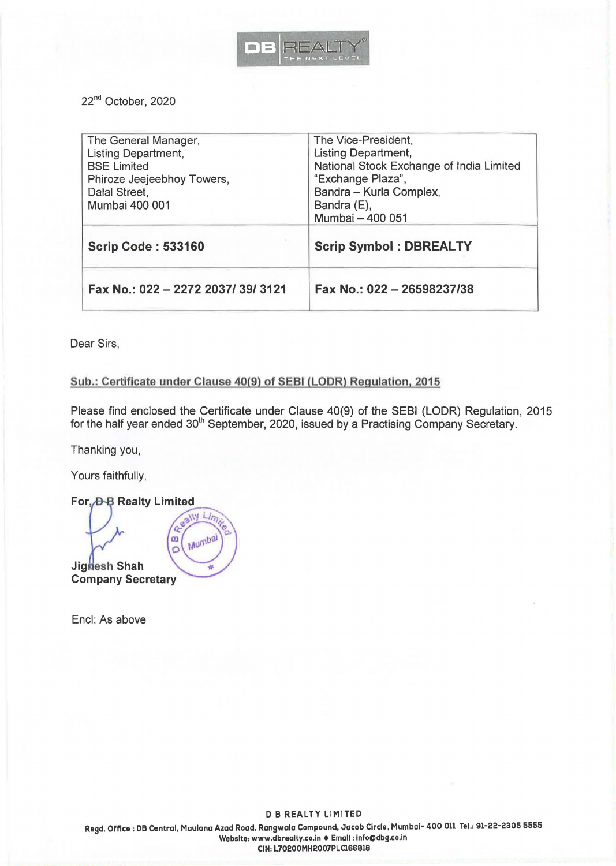

22<sup>nd</sup> October, 2020

| The General Manager,<br>Listing Department,<br><b>BSE Limited</b> | The Vice-President,<br><b>Listing Department,</b><br>National Stock Exchange of India Limited |
|-------------------------------------------------------------------|-----------------------------------------------------------------------------------------------|
| Phiroze Jeejeebhoy Towers,<br>Dalal Street,                       | "Exchange Plaza",<br>Bandra - Kurla Complex,                                                  |
| Mumbai 400 001                                                    | Bandra (E),<br>Mumbai - 400 051                                                               |
| <b>Scrip Code: 533160</b>                                         | <b>Scrip Symbol: DBREALTY</b>                                                                 |
| Fax No.: 022 - 2272 2037/39/3121                                  | Fax No.: 022 - 26598237/38                                                                    |

Dear Sirs,

## Sub.: Certificate under Clause 40(9) of SEBI (LODR) Regulation, 2015

Please find enclosed the Certificate under Clause 40(9) of the SESI (LODR) Regulation, 2015 for the half year ended 30<sup>th</sup> September, 2020, issued by a Practising Company Secretary.

Thanking you,

Yours faithfully,

For, **D-B Realty Limited** Really  $L_{1/2}$ Mumbal  $\omega$ ö **Jig esh Shah Company Secretary** 

Encl: As above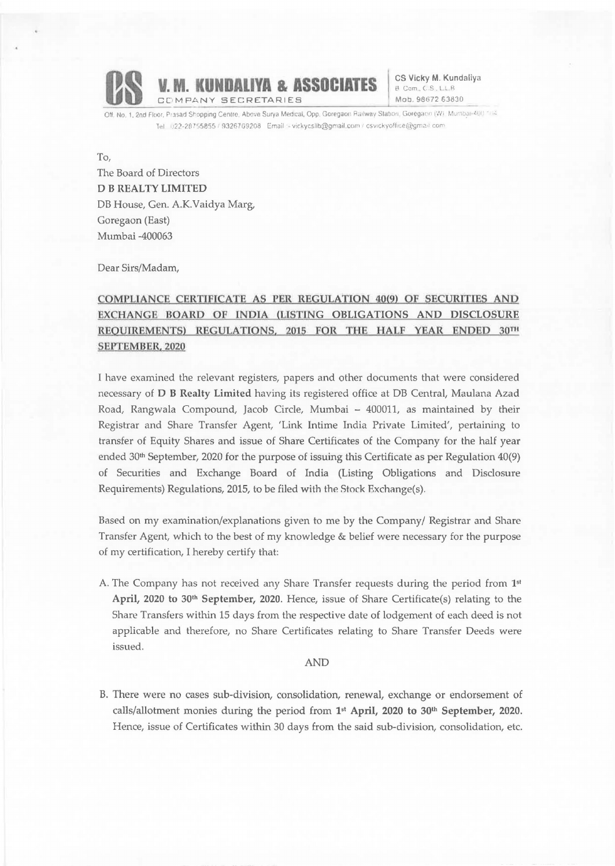

CS Vicky M. Kundaliya<br>B. Cam., C.S., LLB<br>Mob. 98672 63830

1, 2nd Floor, Prasad Shopping Centre, Above Surya Medical, Opp, Goregaon Railway Station, Goregaon (W). Mumbai-400 194 Tel | 022-28755855 / 9326709208 Ernail · vickycsllb@gmail.com / csvickyoffice@gmail.com

To, The Board of Directors **D B REAL TY LIMITED**  DB House, Gen. A.K. Vaidya Marg, Goregaon (East) Mumbai -400063

Dear Sirs/Madam,

# **COMPLIANCE CERTIFICATE AS PER REGULATION 40(9) OF SECURITIES AND EXCHANGE BOARD OF INDIA (LISTING OBLIGATIONS AND DISCLOSURE REQUIREMENTS) REGULATIONS, 2015 FOR THE HALF YEAR ENDED 3o·m SEPTEMBER, 2020**

I have examined the relevant registers, papers and other documents that were considered necessary of **D B Realty Limited** having its registered office at DB Central, Maulana Azad Road, Rangwala Compound, Jacob Circle, Mumbai - 400011, as maintained by their Registrar and Share Transfer Agent, 'Link Intime India Private Limited', pertaining to transfer of Equity Shares and issue of Share Certificates of the Company for the half year ended 30th September, 2020 for the purpose of issuing this Certificate as per Regulation 40(9) of Securities and Exchange Board of India (Listing Obligations and Disclosure Requirements) Regulations, 2015, to be filed with the Stock Exchange(s).

Based on my examination/explanations given to me by the Company/ Registrar and Share Transfer Agent, which to the best of my knowledge & belief were necessary for the purpose of my certification, I hereby certify that:

A. The Company has not received any Share Transfer requests during the period from **l•t April, 2020 to** 30th **September, 2020.** Hence, issue of Share Certificate(s) relating to the Share Transfers within 15 days from the respective date of lodgement of each deed is not applicable and therefore, no Share Certificates relating to Share Transfer Deeds were issued.

#### AND

B. There were no cases sub-division, consolidation, renewal, exchange or endorsement of calls/allotment monies during the period from **1•1 April, 2020 to** 3Qth **September, 2020.**  Hence, issue of Certificates within 30 days from the said sub-division, consolidation, etc.